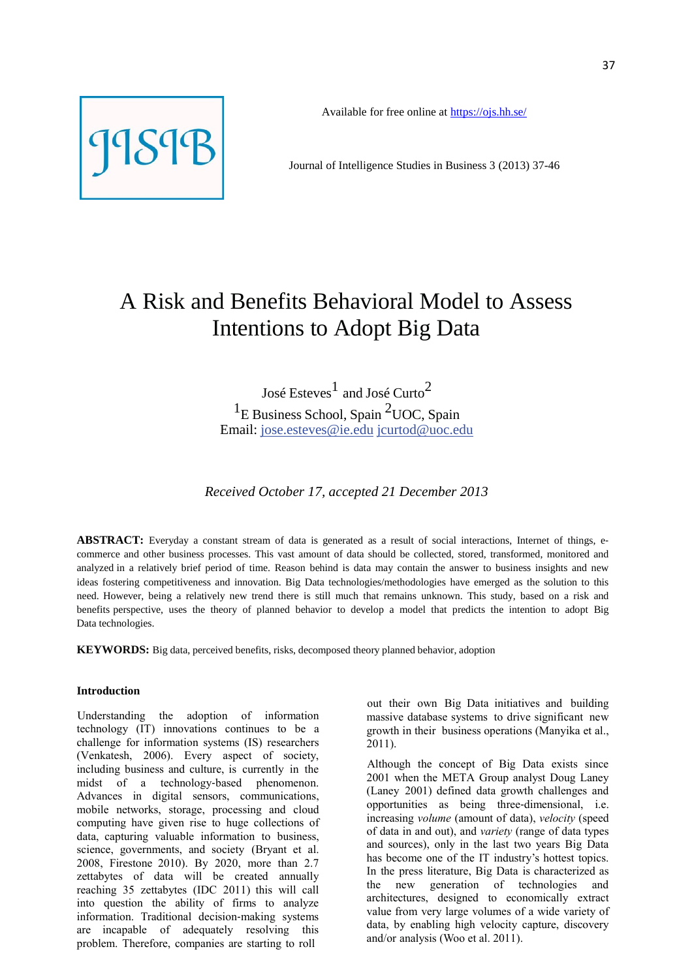

Available for free online at<https://ojs.hh.se/>

Journal of Intelligence Studies in Business 3 (2013) 37-46

# A Risk and Benefits Behavioral Model to Assess Intentions to Adopt Big Data

José  $\mathrm{Esteves}^1$  and José Curto $^2$ <sup>1</sup>E Business School, Spain<sup>2</sup>UOC, Spain Email: [jose.esteves@ie.edu](mailto:jose.esteves@ie.edu) [jcurtod@uoc.edu](mailto:jcurtod@uoc.edu)

*Received October 17, accepted 21 December 2013*

ABSTRACT: Everyday a constant stream of data is generated as a result of social interactions, Internet of things, ecommerce and other business processes. This vast amount of data should be collected, stored, transformed, monitored and analyzed in a relatively brief period of time. Reason behind is data may contain the answer to business insights and new ideas fostering competitiveness and innovation. Big Data technologies/methodologies have emerged as the solution to this need. However, being a relatively new trend there is still much that remains unknown. This study, based on a risk and benefits perspective, uses the theory of planned behavior to develop a model that predicts the intention to adopt Big Data technologies.

**KEYWORDS:** Big data, perceived benefits, risks, decomposed theory planned behavior, adoption

# **Introduction**

Understanding the adoption of information technology (IT) innovations continues to be a challenge for information systems (IS) researchers (Venkatesh, 2006). Every aspect of society, including business and culture, is currently in the midst of a technology-based phenomenon. Advances in digital sensors, communications, mobile networks, storage, processing and cloud computing have given rise to huge collections of data, capturing valuable information to business, science, governments, and society (Bryant et al. 2008, Firestone 2010). By 2020, more than 2.7 zettabytes of data will be created annually reaching 35 zettabytes (IDC 2011) this will call into question the ability of firms to analyze information. Traditional decision‐making systems are incapable of adequately resolving this problem. Therefore, companies are starting to roll

out their own Big Data initiatives and building massive database systems to drive significant new growth in their business operations (Manyika et al., 2011).

Although the concept of Big Data exists since 2001 when the META Group analyst Doug Laney (Laney 2001) defined data growth challenges and opportunities as being three‐dimensional, i.e. increasing *volume* (amount of data), *velocity* (speed of data in and out), and *variety* (range of data types and sources), only in the last two years Big Data has become one of the IT industry's hottest topics. In the press literature, Big Data is characterized as the new generation of technologies and architectures, designed to economically extract value from very large volumes of a wide variety of data, by enabling high velocity capture, discovery and/or analysis (Woo et al. 2011).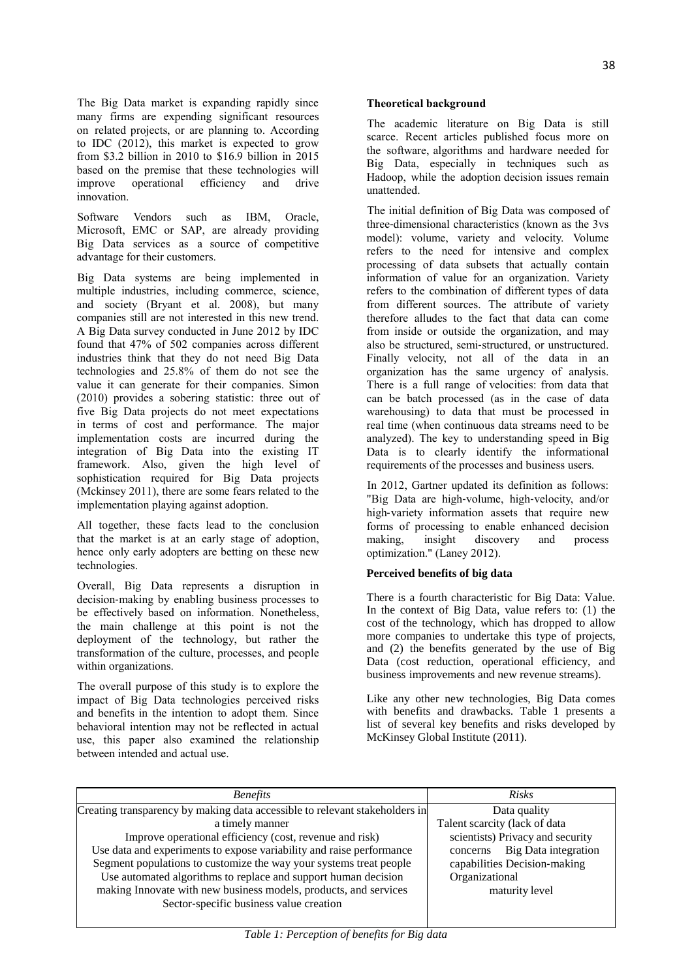The Big Data market is expanding rapidly since many firms are expending significant resources on related projects, or are planning to. According to IDC (2012), this market is expected to grow from \$3.2 billion in 2010 to \$16.9 billion in 2015 based on the premise that these technologies will<br>improve operational efficiency and drive operational innovation.

Software Vendors such as IBM, Oracle, Microsoft, EMC or SAP, are already providing Big Data services as a source of competitive advantage for their customers.

Big Data systems are being implemented in multiple industries, including commerce, science, and society (Bryant et al. 2008), but many companies still are not interested in this new trend. A Big Data survey conducted in June 2012 by IDC found that 47% of 502 companies across different industries think that they do not need Big Data technologies and 25.8% of them do not see the value it can generate for their companies. Simon (2010) provides a sobering statistic: three out of five Big Data projects do not meet expectations in terms of cost and performance. The major implementation costs are incurred during the integration of Big Data into the existing IT framework. Also, given the high level of sophistication required for Big Data projects (Mckinsey 2011), there are some fears related to the implementation playing against adoption.

All together, these facts lead to the conclusion that the market is at an early stage of adoption, hence only early adopters are betting on these new technologies.

Overall, Big Data represents a disruption in decision‐making by enabling business processes to be effectively based on information. Nonetheless, the main challenge at this point is not the deployment of the technology, but rather the transformation of the culture, processes, and people within organizations.

The overall purpose of this study is to explore the impact of Big Data technologies perceived risks and benefits in the intention to adopt them. Since behavioral intention may not be reflected in actual use, this paper also examined the relationship between intended and actual use.

# **Theoretical background**

The academic literature on Big Data is still scarce. Recent articles published focus more on the software, algorithms and hardware needed for Big Data, especially in techniques such as Hadoop, while the adoption decision issues remain unattended.

The initial definition of Big Data was composed of three‐dimensional characteristics (known as the 3vs model): volume, variety and velocity. Volume refers to the need for intensive and complex processing of data subsets that actually contain information of value for an organization. Variety refers to the combination of different types of data from different sources. The attribute of variety therefore alludes to the fact that data can come from inside or outside the organization, and may also be structured, semi‐structured, or unstructured. Finally velocity, not all of the data in an organization has the same urgency of analysis. There is a full range of velocities: from data that can be batch processed (as in the case of data warehousing) to data that must be processed in real time (when continuous data streams need to be analyzed). The key to understanding speed in Big Data is to clearly identify the informational requirements of the processes and business users.

In 2012, Gartner updated its definition as follows: "Big Data are high‐volume, high‐velocity, and/or high-variety information assets that require new forms of processing to enable enhanced decision<br>making, insight discovery and process discovery optimization." (Laney 2012).

## **Perceived benefits of big data**

There is a fourth characteristic for Big Data: Value. In the context of Big Data, value refers to: (1) the cost of the technology, which has dropped to allow more companies to undertake this type of projects, and (2) the benefits generated by the use of Big Data (cost reduction, operational efficiency, and business improvements and new revenue streams).

Like any other new technologies, Big Data comes with benefits and drawbacks. Table 1 presents a list of several key benefits and risks developed by McKinsey Global Institute (2011).

| <b>Benefits</b>                                                             | Risks                                   |
|-----------------------------------------------------------------------------|-----------------------------------------|
| Creating transparency by making data accessible to relevant stakeholders in | Data quality                            |
| a timely manner                                                             | Talent scarcity (lack of data           |
| Improve operational efficiency (cost, revenue and risk)                     | scientists) Privacy and security        |
| Use data and experiments to expose variability and raise performance        | <b>Big Data integration</b><br>concerns |
| Segment populations to customize the way your systems treat people          | capabilities Decision-making            |
| Use automated algorithms to replace and support human decision              | Organizational                          |
| making Innovate with new business models, products, and services            | maturity level                          |
| Sector-specific business value creation                                     |                                         |
|                                                                             |                                         |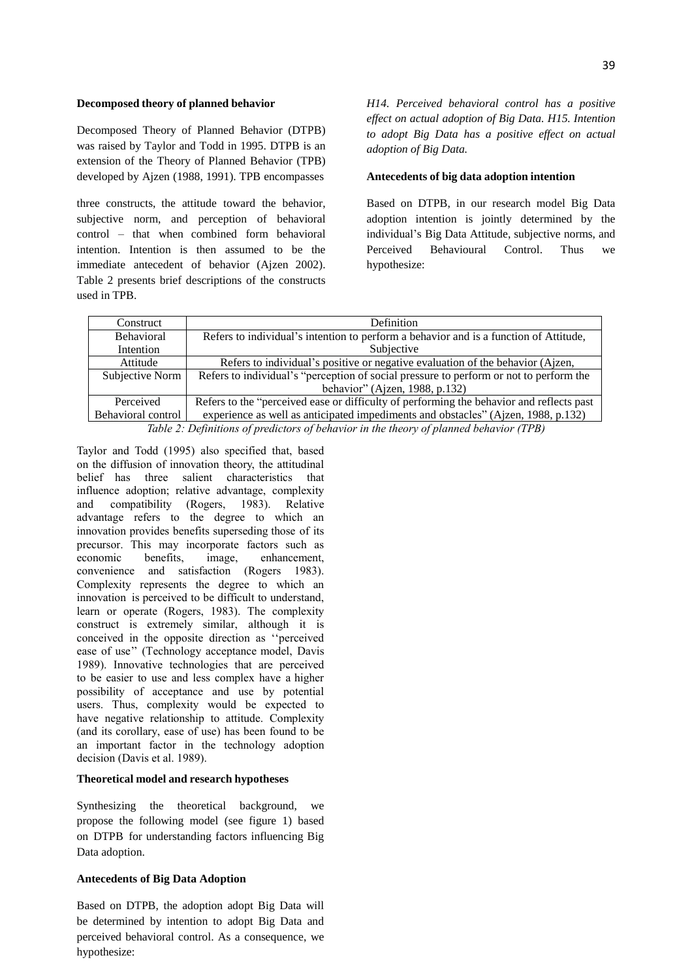#### **Decomposed theory of planned behavior**

Decomposed Theory of Planned Behavior (DTPB) was raised by Taylor and Todd in 1995. DTPB is an extension of the Theory of Planned Behavior (TPB) developed by Ajzen (1988, 1991). TPB encompasses

three constructs, the attitude toward the behavior, subjective norm, and perception of behavioral control – that when combined form behavioral intention. Intention is then assumed to be the immediate antecedent of behavior (Ajzen 2002). Table 2 presents brief descriptions of the constructs used in TPB.

*H14. Perceived behavioral control has a positive effect on actual adoption of Big Data. H15. Intention to adopt Big Data has a positive effect on actual adoption of Big Data.* 

# **Antecedents of big data adoption intention**

Based on DTPB, in our research model Big Data adoption intention is jointly determined by the individual's Big Data Attitude, subjective norms, and Perceived Behavioural Control. Thus we hypothesize:

| Construct                                                                              | Definition                                                                               |  |  |  |
|----------------------------------------------------------------------------------------|------------------------------------------------------------------------------------------|--|--|--|
| <b>Behavioral</b>                                                                      | Refers to individual's intention to perform a behavior and is a function of Attitude,    |  |  |  |
| Intention                                                                              | Subjective                                                                               |  |  |  |
| Attitude                                                                               | Refers to individual's positive or negative evaluation of the behavior (Ajzen,           |  |  |  |
| Subjective Norm                                                                        | Refers to individual's "perception of social pressure to perform or not to perform the   |  |  |  |
|                                                                                        | behavior" (Ajzen, 1988, p.132)                                                           |  |  |  |
| Perceived                                                                              | Refers to the "perceived ease or difficulty of performing the behavior and reflects past |  |  |  |
| Behavioral control                                                                     | experience as well as anticipated impediments and obstacles" (Ajzen, 1988, p.132)        |  |  |  |
| Table 2: Definitions of predictors of behavior in the theory of planned behavior (TPB) |                                                                                          |  |  |  |

Taylor and Todd (1995) also specified that, based on the diffusion of innovation theory, the attitudinal belief has three salient characteristics that influence adoption; relative advantage, complexity and compatibility (Rogers, 1983). Relative advantage refers to the degree to which an innovation provides benefits superseding those of its precursor. This may incorporate factors such as economic benefits, image, enhancement, convenience and satisfaction (Rogers 1983). Complexity represents the degree to which an innovation is perceived to be difficult to understand, learn or operate (Rogers, 1983). The complexity construct is extremely similar, although it is conceived in the opposite direction as ''perceived ease of use'' (Technology acceptance model, Davis 1989). Innovative technologies that are perceived to be easier to use and less complex have a higher possibility of acceptance and use by potential users. Thus, complexity would be expected to have negative relationship to attitude. Complexity (and its corollary, ease of use) has been found to be an important factor in the technology adoption decision (Davis et al. 1989).

#### **Theoretical model and research hypotheses**

Synthesizing the theoretical background, we propose the following model (see figure 1) based on DTPB for understanding factors influencing Big Data adoption.

# **Antecedents of Big Data Adoption**

Based on DTPB, the adoption adopt Big Data will be determined by intention to adopt Big Data and perceived behavioral control. As a consequence, we hypothesize: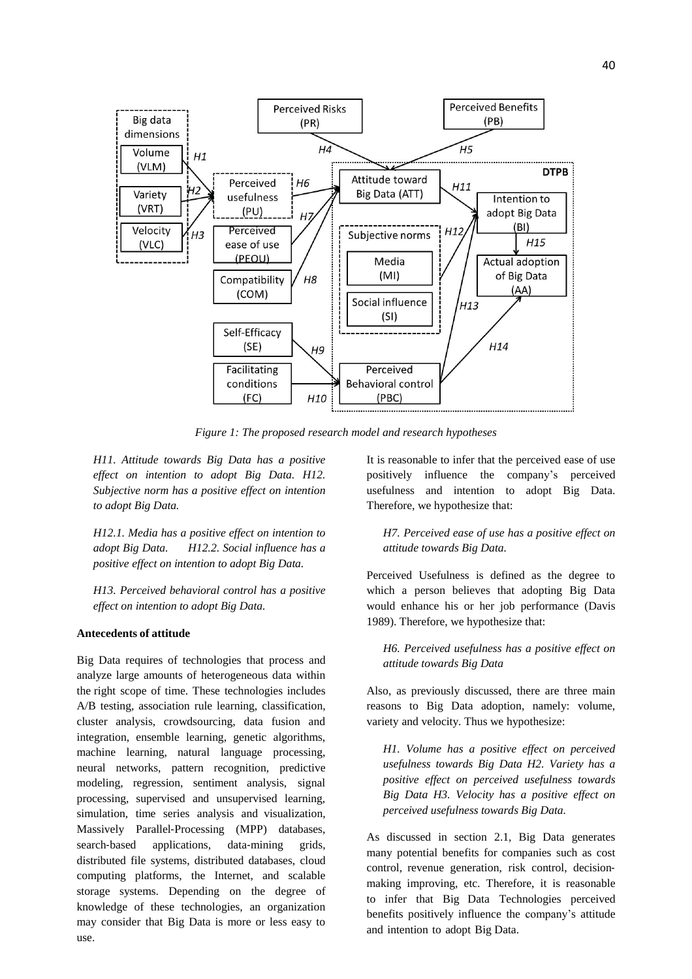

*Figure 1: The proposed research model and research hypotheses*

*H11. Attitude towards Big Data has a positive effect on intention to adopt Big Data. H12. Subjective norm has a positive effect on intention to adopt Big Data.*

*H12.1. Media has a positive effect on intention to adopt Big Data. H12.2. Social influence has a positive effect on intention to adopt Big Data.*

*H13. Perceived behavioral control has a positive effect on intention to adopt Big Data.*

# **Antecedents of attitude**

Big Data requires of technologies that process and analyze large amounts of heterogeneous data within the right scope of time. These technologies includes A/B testing, association rule learning, classification, cluster analysis, crowdsourcing, data fusion and integration, ensemble learning, genetic algorithms, machine learning, natural language processing, neural networks, pattern recognition, predictive modeling, regression, sentiment analysis, signal processing, supervised and unsupervised learning, simulation, time series analysis and visualization, Massively Parallel-Processing (MPP) databases, search-based applications, data-mining grids, distributed file systems, distributed databases, cloud computing platforms, the Internet, and scalable storage systems. Depending on the degree of knowledge of these technologies, an organization may consider that Big Data is more or less easy to use.

It is reasonable to infer that the perceived ease of use positively influence the company's perceived usefulness and intention to adopt Big Data. Therefore, we hypothesize that:

*H7. Perceived ease of use has a positive effect on attitude towards Big Data.*

Perceived Usefulness is defined as the degree to which a person believes that adopting Big Data would enhance his or her job performance (Davis 1989). Therefore, we hypothesize that:

# *H6. Perceived usefulness has a positive effect on attitude towards Big Data*

Also, as previously discussed, there are three main reasons to Big Data adoption, namely: volume, variety and velocity. Thus we hypothesize:

*H1. Volume has a positive effect on perceived usefulness towards Big Data H2. Variety has a positive effect on perceived usefulness towards Big Data H3. Velocity has a positive effect on perceived usefulness towards Big Data.*

As discussed in section 2.1, Big Data generates many potential benefits for companies such as cost control, revenue generation, risk control, decisionmaking improving, etc. Therefore, it is reasonable to infer that Big Data Technologies perceived benefits positively influence the company's attitude and intention to adopt Big Data.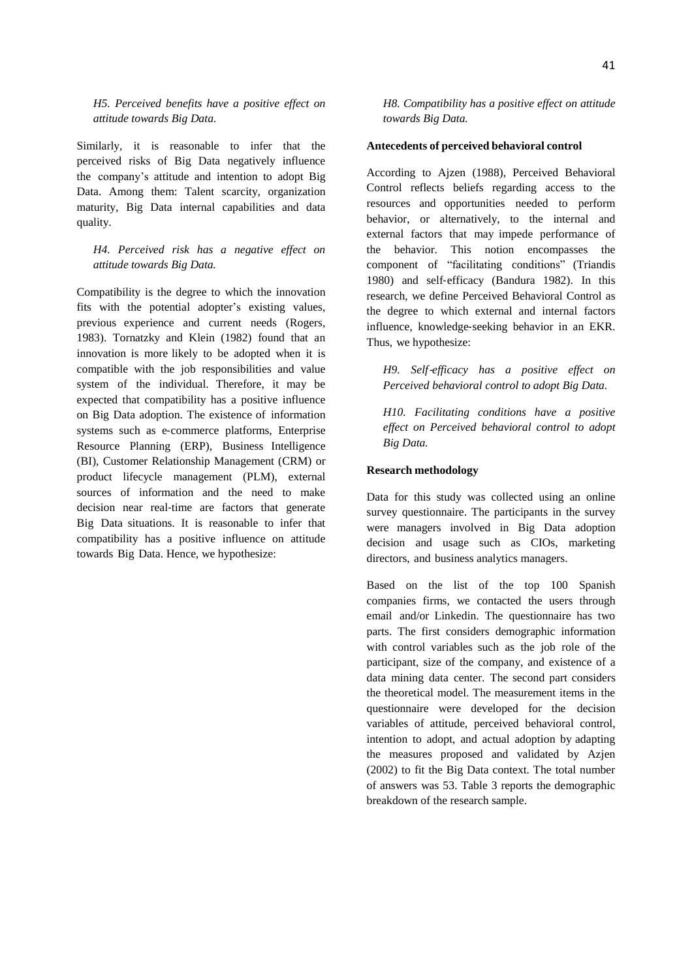*H5. Perceived benefits have a positive effect on attitude towards Big Data.*

Similarly, it is reasonable to infer that the perceived risks of Big Data negatively influence the company's attitude and intention to adopt Big Data. Among them: Talent scarcity, organization maturity, Big Data internal capabilities and data quality.

*H4. Perceived risk has a negative effect on attitude towards Big Data.*

Compatibility is the degree to which the innovation fits with the potential adopter's existing values, previous experience and current needs (Rogers, 1983). Tornatzky and Klein (1982) found that an innovation is more likely to be adopted when it is compatible with the job responsibilities and value system of the individual. Therefore, it may be expected that compatibility has a positive influence on Big Data adoption. The existence of information systems such as e-commerce platforms, Enterprise Resource Planning (ERP), Business Intelligence (BI), Customer Relationship Management (CRM) or product lifecycle management (PLM), external sources of information and the need to make decision near real‐time are factors that generate Big Data situations. It is reasonable to infer that compatibility has a positive influence on attitude towards Big Data. Hence, we hypothesize:

*H8. Compatibility has a positive effect on attitude towards Big Data.*

## **Antecedents of perceived behavioral control**

According to Ajzen (1988), Perceived Behavioral Control reflects beliefs regarding access to the resources and opportunities needed to perform behavior, or alternatively, to the internal and external factors that may impede performance of the behavior. This notion encompasses the component of "facilitating conditions" (Triandis 1980) and self‐efficacy (Bandura 1982). In this research, we define Perceived Behavioral Control as the degree to which external and internal factors influence, knowledge‐seeking behavior in an EKR. Thus, we hypothesize:

*H9. Self*‐*efficacy has a positive effect on Perceived behavioral control to adopt Big Data.*

*H10. Facilitating conditions have a positive effect on Perceived behavioral control to adopt Big Data.*

## **Research methodology**

Data for this study was collected using an online survey questionnaire. The participants in the survey were managers involved in Big Data adoption decision and usage such as CIOs, marketing directors, and business analytics managers.

Based on the list of the top 100 Spanish companies firms, we contacted the users through email and/or Linkedin. The questionnaire has two parts. The first considers demographic information with control variables such as the job role of the participant, size of the company, and existence of a data mining data center. The second part considers the theoretical model. The measurement items in the questionnaire were developed for the decision variables of attitude, perceived behavioral control, intention to adopt, and actual adoption by adapting the measures proposed and validated by Azjen (2002) to fit the Big Data context. The total number of answers was 53. Table 3 reports the demographic breakdown of the research sample.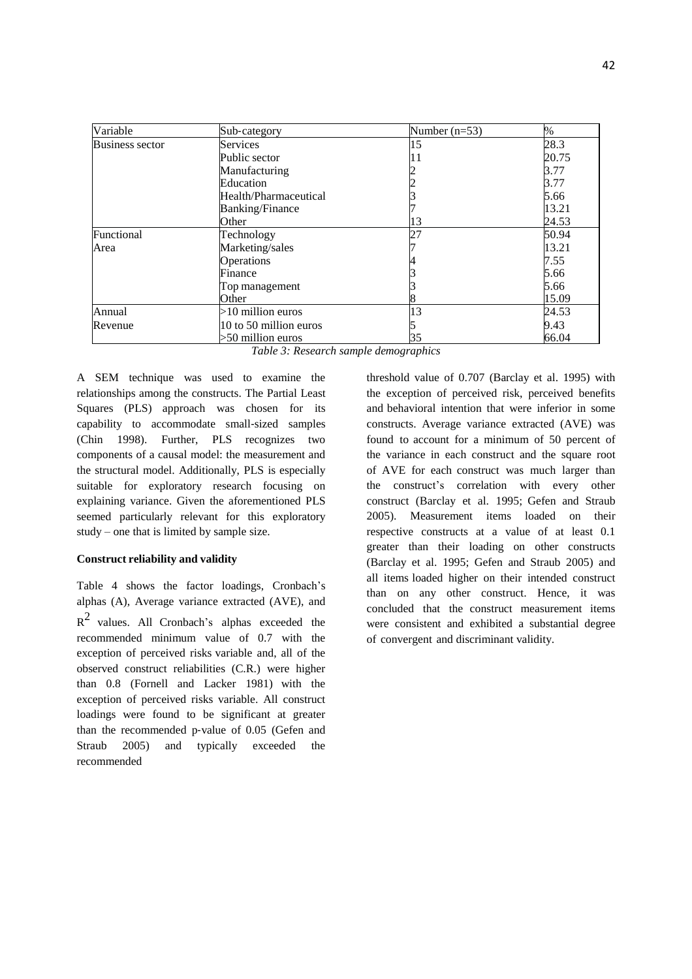| Variable               | Sub-category           | Number $(n=53)$ | $\frac{0}{0}$ |
|------------------------|------------------------|-----------------|---------------|
| <b>Business sector</b> | <b>Services</b>        | 15              | 28.3          |
|                        | Public sector          | 11              | 20.75         |
|                        | Manufacturing          |                 | 3.77          |
|                        | Education              |                 | 3.77          |
|                        | Health/Pharmaceutical  |                 | 5.66          |
|                        | <b>Banking/Finance</b> |                 | 13.21         |
|                        | Other                  | 13              | 24.53         |
| Functional             | Technology             | 27              | 50.94         |
| Area                   | Marketing/sales        |                 | 13.21         |
|                        | Operations             |                 | 7.55          |
|                        | Finance                |                 | 5.66          |
|                        | Top management         |                 | 5.66          |
|                        | Other                  |                 | 15.09         |
| Annual                 | $>10$ million euros    | 13              | 24.53         |
| Revenue                | 10 to 50 million euros |                 | 9.43          |
|                        | $>50$ million euros    | 35              | 66.04         |

*Table 3: Research sample demographics*

A SEM technique was used to examine the relationships among the constructs. The Partial Least Squares (PLS) approach was chosen for its capability to accommodate small‐sized samples (Chin 1998). Further, PLS recognizes two components of a causal model: the measurement and the structural model. Additionally, PLS is especially suitable for exploratory research focusing on explaining variance. Given the aforementioned PLS seemed particularly relevant for this exploratory study – one that is limited by sample size.

# **Construct reliability and validity**

Table 4 shows the factor loadings, Cronbach's alphas (A), Average variance extracted (AVE), and  $R^2$  values. All Cronbach's alphas exceeded the recommended minimum value of 0.7 with the exception of perceived risks variable and, all of the observed construct reliabilities (C.R.) were higher than 0.8 (Fornell and Lacker 1981) with the exception of perceived risks variable. All construct loadings were found to be significant at greater than the recommended p-value of 0.05 (Gefen and Straub 2005) and typically exceeded the recommended

threshold value of 0.707 (Barclay et al. 1995) with the exception of perceived risk, perceived benefits and behavioral intention that were inferior in some constructs. Average variance extracted (AVE) was found to account for a minimum of 50 percent of the variance in each construct and the square root of AVE for each construct was much larger than the construct's correlation with every other construct (Barclay et al. 1995; Gefen and Straub 2005). Measurement items loaded on their respective constructs at a value of at least 0.1 greater than their loading on other constructs (Barclay et al. 1995; Gefen and Straub 2005) and all items loaded higher on their intended construct than on any other construct. Hence, it was concluded that the construct measurement items were consistent and exhibited a substantial degree of convergent and discriminant validity.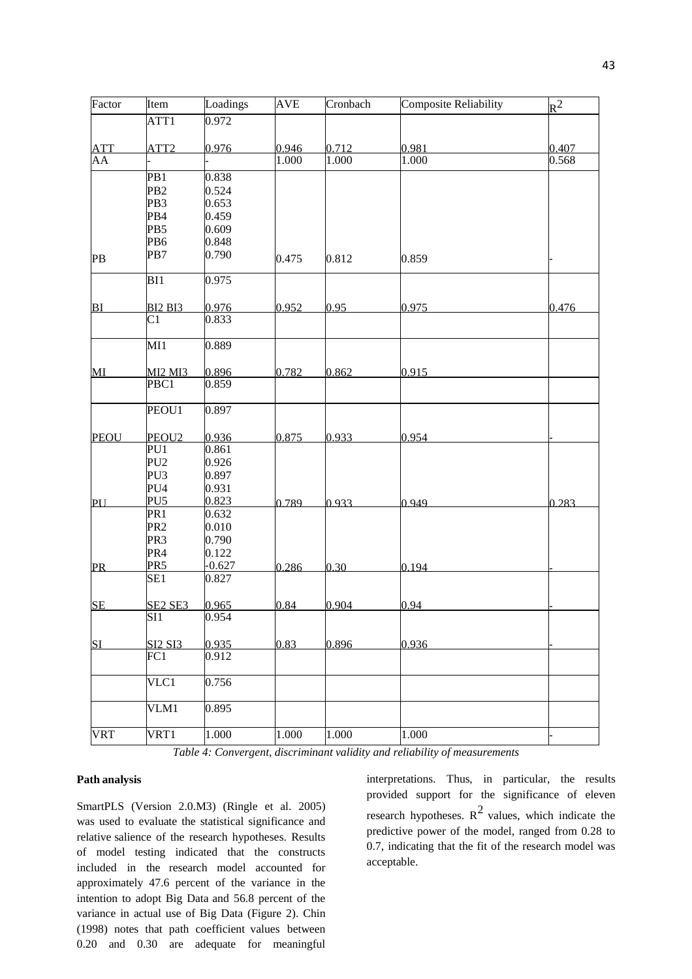| Factor      | Item                            | Loadings       | <b>AVE</b> | Cronbach | Composite Reliability | $R^2$ |
|-------------|---------------------------------|----------------|------------|----------|-----------------------|-------|
|             | ATT <sub>1</sub>                | 0.972          |            |          |                       |       |
| <b>ATT</b>  | ATT <sub>2</sub>                | 0.976          | 0.946      | 0.712    | 0.981                 | 0.407 |
| AA          |                                 |                | 1.000      | 1.000    | 1.000                 | 0.568 |
|             | PB <sub>1</sub>                 | 0.838          |            |          |                       |       |
|             | PB <sub>2</sub>                 | 0.524          |            |          |                       |       |
|             | PB3                             | 0.653          |            |          |                       |       |
|             | PB4                             | 0.459          |            |          |                       |       |
|             | PB5                             | 0.609          |            |          |                       |       |
|             | PB6                             | 0.848          |            |          |                       |       |
|             | PB7                             | 0.790          |            |          |                       |       |
| PB          |                                 |                | 0.475      | 0.812    | 0.859                 |       |
|             | BI1                             | 0.975          |            |          |                       |       |
| BI          | <b>BI2 BI3</b>                  | 0.976          | 0.952      | 0.95     | 0.975                 | 0.476 |
|             | $\mathrm{C}1$                   | 0.833          |            |          |                       |       |
|             | MI1                             | 0.889          |            |          |                       |       |
|             |                                 |                |            |          |                       |       |
| МI          | <b>MI2 MI3</b><br>PBC1          | 0.896<br>0.859 | 0.782      | 0.862    | 0.915                 |       |
|             |                                 |                |            |          |                       |       |
|             | PEOU1                           | 0.897          |            |          |                       |       |
| <b>PEOU</b> | PEOU <sub>2</sub>               | 0.936          | 0.875      | 0.933    | 0.954                 |       |
|             | PU1                             | 0.861          |            |          |                       |       |
|             | PU <sub>2</sub>                 | 0.926          |            |          |                       |       |
|             | PU3                             | 0.897          |            |          |                       |       |
|             | PU <sub>4</sub>                 | 0.931          |            |          |                       |       |
| PU          | PU <sub>5</sub>                 | 0.823          | 0.789      | 0.933    | 0.949                 | 0.283 |
|             | PR <sub>1</sub>                 | 0.632          |            |          |                       |       |
|             | PR <sub>2</sub>                 | 0.010          |            |          |                       |       |
|             | PR <sub>3</sub>                 | 0.790          |            |          |                       |       |
|             | PR4                             | 0.122          |            |          |                       |       |
| PR          | PR <sub>5</sub>                 | $-0.627$       | 0.286      | 0.30     | 0.194                 |       |
|             | SE <sub>1</sub>                 | 0.827          |            |          |                       |       |
| <b>SE</b>   | SE <sub>2</sub> SE <sub>3</sub> | 0.965          | 0.84       | 0.904    | 0.94                  |       |
|             | SI1                             | 0.954          |            |          |                       |       |
| SI          | <b>SI2 SI3</b>                  | 0.935          | 0.83       | 0.896    | 0.936                 |       |
|             | FC1                             | 0.912          |            |          |                       |       |
|             | VLC1                            | 0.756          |            |          |                       |       |
|             | VLM1                            | 0.895          |            |          |                       |       |
| VRT         | VRT1                            | 1.000          | 1.000      | 1.000    | 1.000                 |       |

*Table 4: Convergent, discriminant validity and reliability of measurements*

#### **Path analysis**

SmartPLS (Version 2.0.M3) (Ringle et al. 2005) was used to evaluate the statistical significance and relative salience of the research hypotheses. Results of model testing indicated that the constructs included in the research model accounted for approximately 47.6 percent of the variance in the intention to adopt Big Data and 56.8 percent of the variance in actual use of Big Data (Figure 2). Chin (1998) notes that path coefficient values between 0.20 and 0.30 are adequate for meaningful interpretations. Thus, in particular, the results provided support for the significance of eleven research hypotheses.  $R^2$  values, which indicate the predictive power of the model, ranged from 0.28 to 0.7, indicating that the fit of the research model was acceptable.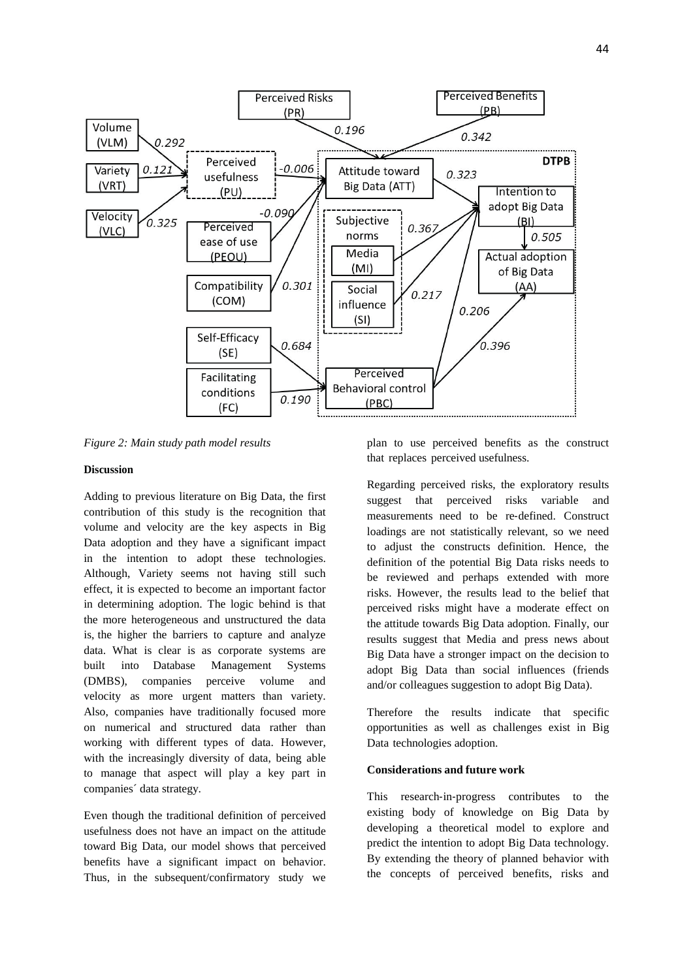

*Figure 2: Main study path model results*

## **Discussion**

Adding to previous literature on Big Data, the first contribution of this study is the recognition that volume and velocity are the key aspects in Big Data adoption and they have a significant impact in the intention to adopt these technologies. Although, Variety seems not having still such effect, it is expected to become an important factor in determining adoption. The logic behind is that the more heterogeneous and unstructured the data is, the higher the barriers to capture and analyze data. What is clear is as corporate systems are built into Database Management Systems (DMBS), companies perceive volume and velocity as more urgent matters than variety. Also, companies have traditionally focused more on numerical and structured data rather than working with different types of data. However, with the increasingly diversity of data, being able to manage that aspect will play a key part in companies´ data strategy.

Even though the traditional definition of perceived usefulness does not have an impact on the attitude toward Big Data, our model shows that perceived benefits have a significant impact on behavior. Thus, in the subsequent/confirmatory study we

plan to use perceived benefits as the construct that replaces perceived usefulness.

Regarding perceived risks, the exploratory results suggest that perceived risks variable and measurements need to be re‐defined. Construct loadings are not statistically relevant, so we need to adjust the constructs definition. Hence, the definition of the potential Big Data risks needs to be reviewed and perhaps extended with more risks. However, the results lead to the belief that perceived risks might have a moderate effect on the attitude towards Big Data adoption. Finally, our results suggest that Media and press news about Big Data have a stronger impact on the decision to adopt Big Data than social influences (friends and/or colleagues suggestion to adopt Big Data).

Therefore the results indicate that specific opportunities as well as challenges exist in Big Data technologies adoption.

## **Considerations and future work**

This research-in-progress contributes to the existing body of knowledge on Big Data by developing a theoretical model to explore and predict the intention to adopt Big Data technology. By extending the theory of planned behavior with the concepts of perceived benefits, risks and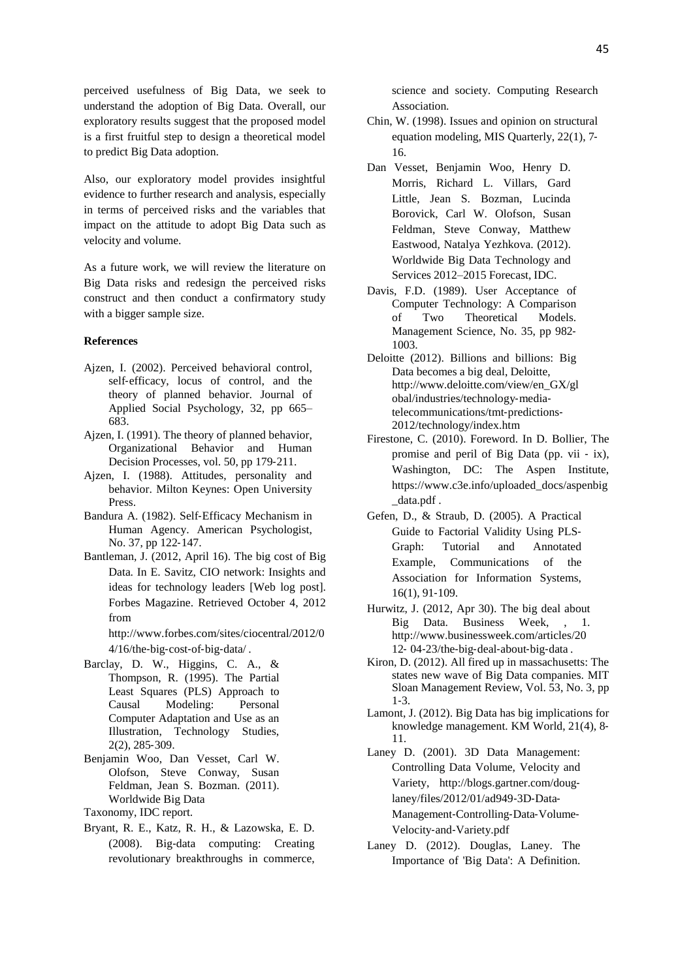perceived usefulness of Big Data, we seek to understand the adoption of Big Data. Overall, our exploratory results suggest that the proposed model is a first fruitful step to design a theoretical model to predict Big Data adoption.

Also, our exploratory model provides insightful evidence to further research and analysis, especially in terms of perceived risks and the variables that impact on the attitude to adopt Big Data such as velocity and volume.

As a future work, we will review the literature on Big Data risks and redesign the perceived risks construct and then conduct a confirmatory study with a bigger sample size.

## **References**

- Ajzen, I. (2002). Perceived behavioral control, self-efficacy, locus of control, and the theory of planned behavior. Journal of Applied Social Psychology, 32, pp 665– 683.
- Ajzen, I. (1991). The theory of planned behavior, Organizational Behavior and Human Decision Processes, vol. 50, pp 179‐211.
- Ajzen, I. (1988). Attitudes, personality and behavior. Milton Keynes: Open University Press.
- Bandura A. (1982). Self‐Efficacy Mechanism in Human Agency. American Psychologist, No. 37, pp 122‐147.
- Bantleman, J. (2012, April 16). The big cost of Big Data. In E. Savitz, CIO network: Insights and ideas for technology leaders [Web log post]. Forbes Magazine. Retrieved October 4, 2012 from

[http://www.forbes.com/sites/ciocentral/2012/0](http://www.forbes.com/sites/ciocentral/2012/04/16/the-big-cost-of-big-data/) [4/16/the](http://www.forbes.com/sites/ciocentral/2012/04/16/the-big-cost-of-big-data/)-big-cost-of-big-data/.

- Barclay, D. W., Higgins, C. A., & Thompson, R. (1995). The Partial Least Squares (PLS) Approach to Causal Modeling: Personal Computer Adaptation and Use as an Illustration, Technology Studies, 2(2), 285‐309.
- Benjamin Woo, Dan Vesset, Carl W. Olofson, Steve Conway, Susan Feldman, Jean S. Bozman. (2011). Worldwide Big Data
- Taxonomy, IDC report.
- Bryant, R. E., Katz, R. H., & Lazowska, E. D. (2008). Big‐data computing: Creating revolutionary breakthroughs in commerce,

science and society. Computing Research Association.

- Chin, W. (1998). Issues and opinion on structural equation modeling, MIS Quarterly, 22(1), 7‐ 16.
- Dan Vesset, Benjamin Woo, Henry D. Morris, Richard L. Villars, Gard Little, Jean S. Bozman, Lucinda Borovick, Carl W. Olofson, Susan Feldman, Steve Conway, Matthew Eastwood, Natalya Yezhkova. (2012). Worldwide Big Data Technology and Services 2012–2015 Forecast, IDC.
- Davis, F.D. (1989). User Acceptance of Computer Technology: A Comparison of Two Theoretical Models. Management Science, No. 35, pp 982‐ 1003.
- Deloitte (2012). Billions and billions: Big Data becomes a big deal, Deloitte, [http://www.deloitte.com/view/en\\_GX/gl](http://www.deloitte.com/view/en_GX/global/industries/technology-media-telecommunications/tmt-predictions-2012/technology/index.htm) [obal/industries/technology](http://www.deloitte.com/view/en_GX/global/industries/technology-media-telecommunications/tmt-predictions-2012/technology/index.htm)‐media‐ [telecommunications/tmt](http://www.deloitte.com/view/en_GX/global/industries/technology-media-telecommunications/tmt-predictions-2012/technology/index.htm)‐predictions‐ [2012/technology/index.htm](http://www.deloitte.com/view/en_GX/global/industries/technology-media-telecommunications/tmt-predictions-2012/technology/index.htm)
- Firestone, C. (2010). Foreword. In D. Bollier, The promise and peril of Big Data (pp. vii ‐ ix), Washington, DC: The Aspen Institute, [https://www.c3e.info/uploaded\\_docs/aspenbig](https://www.c3e.info/uploaded_docs/aspenbig_data.pdf) [\\_data.pdf](https://www.c3e.info/uploaded_docs/aspenbig_data.pdf) .
- Gefen, D., & Straub, D. (2005). A Practical Guide to Factorial Validity Using PLS‐ Graph: Tutorial and Annotated Example, Communications of the Association for Information Systems, 16(1), 91‐109.
- Hurwitz, J. (2012, Apr 30). The big deal about Big Data. Business Week, , 1. [http://www.businessweek.com/articles/20](http://www.businessweek.com/articles/2012-04-23/the-big-deal-about-big-data) [12](http://www.businessweek.com/articles/2012-04-23/the-big-deal-about-big-data)‐ 04‐[23/the](http://www.businessweek.com/articles/2012-04-23/the-big-deal-about-big-data)‐big‐deal‐about‐big‐data .
- Kiron, D. (2012). All fired up in massachusetts: The states new wave of Big Data companies. MIT Sloan Management Review, Vol. 53, No. 3, pp 1‐3.
- Lamont, J. (2012). Big Data has big implications for knowledge management. KM World, 21(4), 8‐ 11.
- Laney D. (2001). 3D Data Management: Controlling Data Volume, Velocity and Variety, [http://blogs.gartner.com/doug](http://blogs.gartner.com/doug-laney/files/2012/01/ad949-3D-Data-Management-Controlling-Data-Volume-Velocity-and-Variety.pdf)‐ [laney/files/2012/01/ad949](http://blogs.gartner.com/doug-laney/files/2012/01/ad949-3D-Data-Management-Controlling-Data-Volume-Velocity-and-Variety.pdf)‐3D‐Data‐ [Management](http://blogs.gartner.com/doug-laney/files/2012/01/ad949-3D-Data-Management-Controlling-Data-Volume-Velocity-and-Variety.pdf)‐Controlling‐Data‐Volume‐ Velocity‐and‐[Variety.pdf](http://blogs.gartner.com/doug-laney/files/2012/01/ad949-3D-Data-Management-Controlling-Data-Volume-Velocity-and-Variety.pdf)
- Laney D. (2012). Douglas, Laney. The Importance of 'Big Data': A Definition.